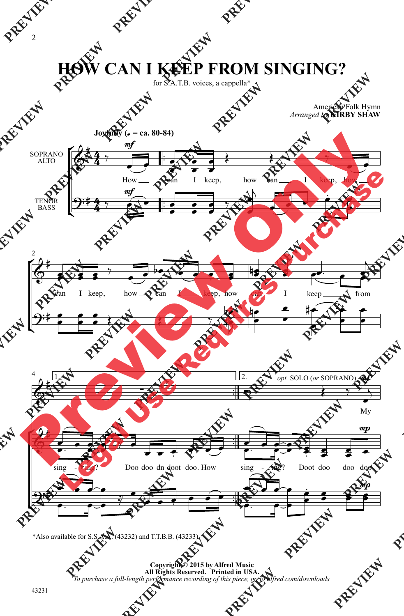## **HOW CAN I KEEP FROM SINGING?**

for S.A.T.B. voices, a cappella\*

American Folk Hymn *Arranged by* **KIRBY SHAW**



\*Also available for S.S.A.A. (43232) and T.T.B.B. (43233).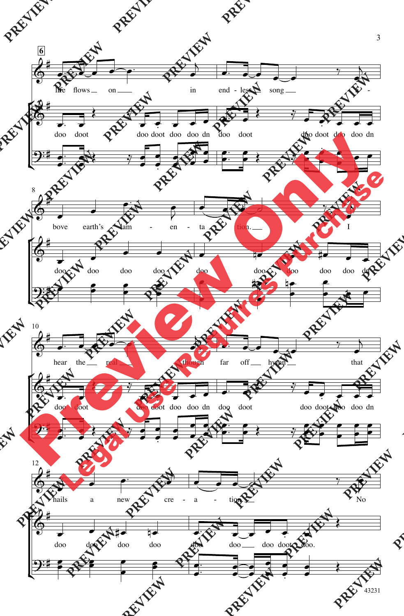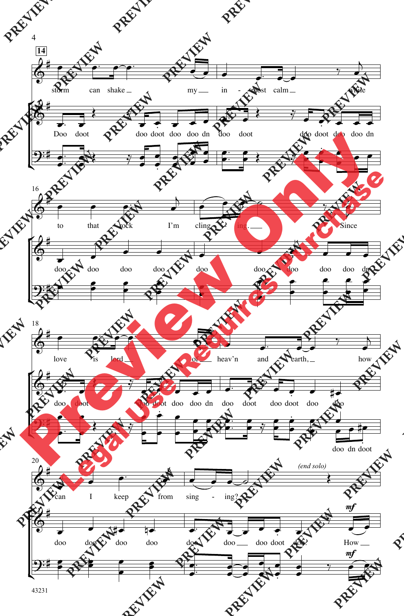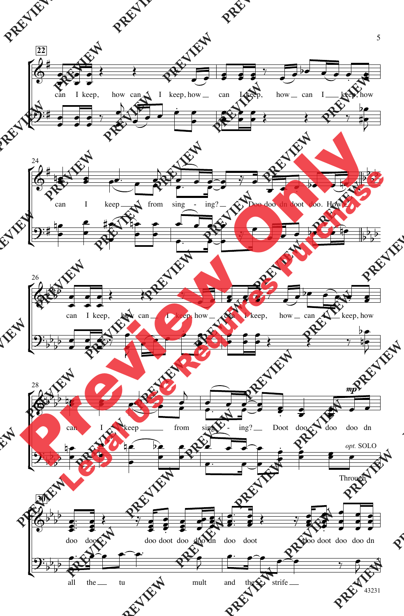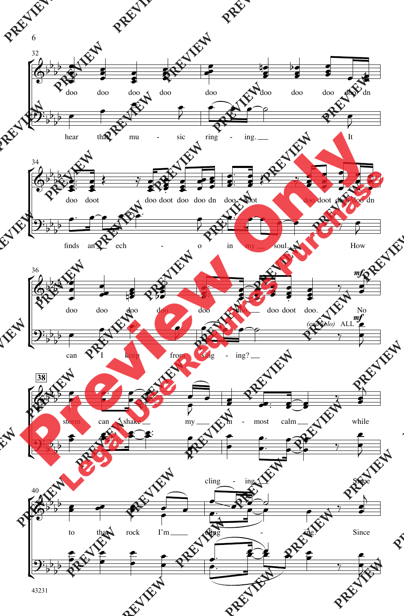

6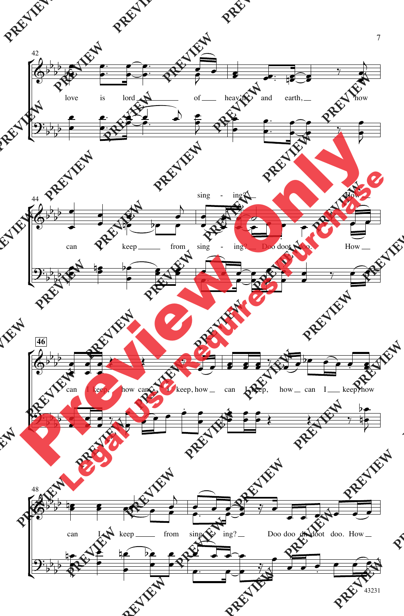